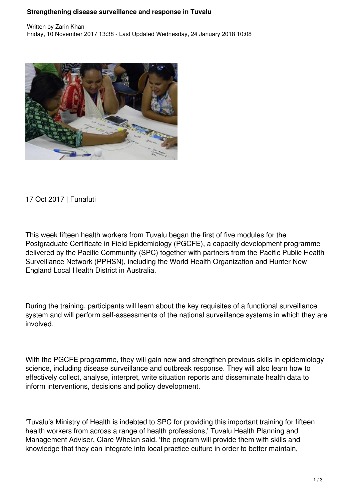## **Strengthening disease surveillance and response in Tuvalu**



17 Oct 2017 | Funafuti

This week fifteen health workers from Tuvalu began the first of five modules for the Postgraduate Certificate in Field Epidemiology (PGCFE), a capacity development programme delivered by the Pacific Community (SPC) together with partners from the Pacific Public Health Surveillance Network (PPHSN), including the World Health Organization and Hunter New England Local Health District in Australia.

During the training, participants will learn about the key requisites of a functional surveillance system and will perform self-assessments of the national surveillance systems in which they are involved.

With the PGCFE programme, they will gain new and strengthen previous skills in epidemiology science, including disease surveillance and outbreak response. They will also learn how to effectively collect, analyse, interpret, write situation reports and disseminate health data to inform interventions, decisions and policy development.

'Tuvalu's Ministry of Health is indebted to SPC for providing this important training for fifteen health workers from across a range of health professions,' Tuvalu Health Planning and Management Adviser, Clare Whelan said. 'the program will provide them with skills and knowledge that they can integrate into local practice culture in order to better maintain,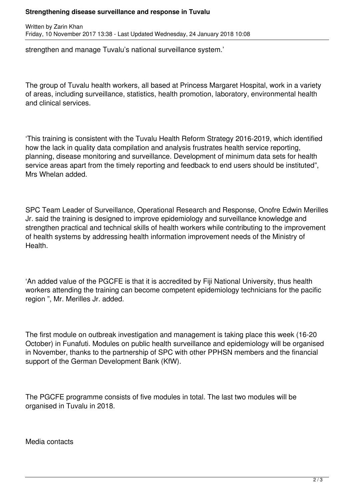## **Strengthening disease surveillance and response in Tuvalu**

Written by Zarin Khan Friday, 10 November 2017 13:38 - Last Updated Wednesday, 24 January 2018 10:08

strengthen and manage Tuvalu's national surveillance system.'

The group of Tuvalu health workers, all based at Princess Margaret Hospital, work in a variety of areas, including surveillance, statistics, health promotion, laboratory, environmental health and clinical services.

'This training is consistent with the Tuvalu Health Reform Strategy 2016-2019, which identified how the lack in quality data compilation and analysis frustrates health service reporting, planning, disease monitoring and surveillance. Development of minimum data sets for health service areas apart from the timely reporting and feedback to end users should be instituted", Mrs Whelan added.

SPC Team Leader of Surveillance, Operational Research and Response, Onofre Edwin Merilles Jr. said the training is designed to improve epidemiology and surveillance knowledge and strengthen practical and technical skills of health workers while contributing to the improvement of health systems by addressing health information improvement needs of the Ministry of Health.

'An added value of the PGCFE is that it is accredited by Fiji National University, thus health workers attending the training can become competent epidemiology technicians for the pacific region ", Mr. Merilles Jr. added.

The first module on outbreak investigation and management is taking place this week (16-20 October) in Funafuti. Modules on public health surveillance and epidemiology will be organised in November, thanks to the partnership of SPC with other PPHSN members and the financial support of the German Development Bank (KfW).

The PGCFE programme consists of five modules in total. The last two modules will be organised in Tuvalu in 2018.

Media contacts